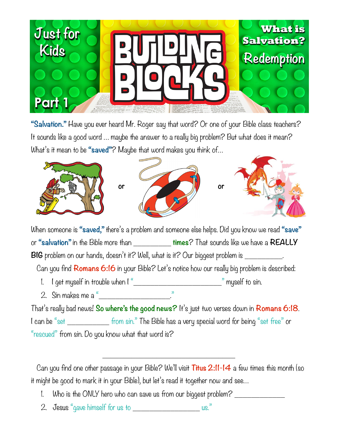

**"Salvation."** Have you ever heard Mr. Roger say that word? Or one of your Bible class teachers? It sounds like a good word … maybe the answer to a really big problem? But what does it mean? What's it mean to be **"saved"**? Maybe that word makes you think of…



When someone is **"saved,"** there's a problem and someone else helps. Did you know we read **"save"** or **"salvation"** in the Bible more than \_\_\_\_\_\_\_\_\_ **times**? That sounds like we have a **REALLY BIG** problem on our hands, doesn't it? Well, what is it? Our biggest problem is

Can you find **Romans 6:16** in your Bible? Let's notice how our really big problem is described:

- 1. I get myself in trouble when I "\_\_\_\_\_\_\_\_\_\_\_\_\_\_\_\_\_\_\_\_\_\_\_\_\_\_\_\_\_\_\_\_\_" myself to sin.
- 2. Sin makes me a "

That's really bad news! **So where's the good news?** It's just two verses down in **Romans 6:18**. I can be "set \_\_\_\_\_\_\_\_\_\_\_\_\_ from sin." The Bible has a very special word for being "set free" or "rescued" from sin. Do you know what that word is?

 Can you find one other passage in your Bible? We'll visit **Titus 2:11-14** a few times this month (so it might be good to mark it in your Bible), but let's read it together now and see…

**\_\_\_\_\_\_\_\_\_\_\_\_\_\_\_\_\_\_\_\_\_\_\_\_\_\_\_\_\_\_\_\_**

- 1. Who is the ONLY hero who can save us from our biggest problem? \_\_\_\_\_\_\_\_\_\_\_\_
- 2. Jesus "gave himself for us to  $\qquad \qquad \text{us.}$ "